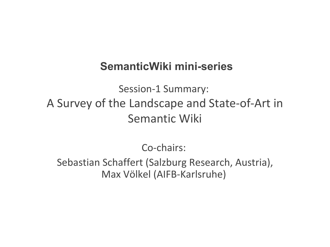#### **SemanticWiki mini-series**

Session-1 Summary: A Survey of the Landscape and State-of-Art in Semantic Wiki

Co-chairs:

Sebastian Schaffert (Salzburg Research, Austria), Max Völkel (AIFB-Karlsruhe)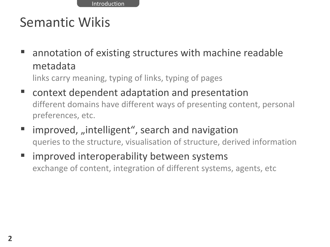Introduction

## Semantic Wikis

 annotation of existing structures with machine readable metadata

links carry meaning, typing of links, typing of pages

- context dependent adaptation and presentation different domains have different ways of presenting content, personal preferences, etc.
- improved, "intelligent", search and navigation queries to the structure, visualisation of structure, derived information
- improved interoperability between systems exchange of content, integration of different systems, agents, etc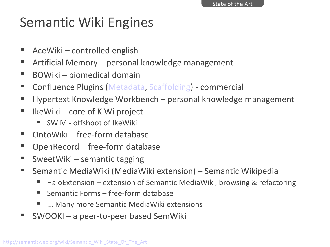# Semantic Wiki Engines

- AceWiki controlled english
- Artificial Memory personal knowledge management
- BOWiki biomedical domain
- Confluence Plugins [\(Metadata,](http://confluence.atlassian.com/display/CONFEXT/Metadata+Plugin) [Scaffolding\)](http://www.randombits.org/display/CONF/Scaffolding+Plugin) commercial
- Hypertext Knowledge Workbench personal knowledge management
- $\blacksquare$  IkeWiki core of KiWi project
	- SWiM offshoot of IkeWiki
- OntoWiki free-form database
- OpenRecord free-form database
- SweetWiki semantic tagging
- Semantic MediaWiki (MediaWiki extension) Semantic Wikipedia
	- HaloExtension extension of Semantic MediaWiki, browsing & refactoring
	- Semantic Forms free-form database
	- **E** ... Many more Semantic MediaWiki extensions
- SWOOKI a peer-to-peer based SemWiki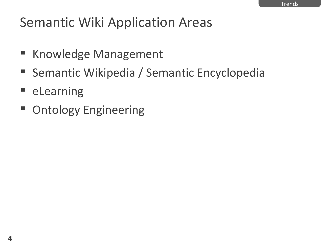## Semantic Wiki Application Areas

- Knowledge Management
- Semantic Wikipedia / Semantic Encyclopedia
- **E** eLearning
- Ontology Engineering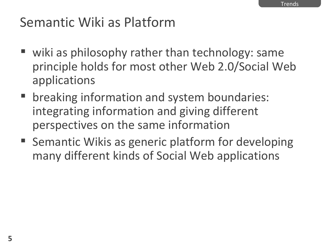## Semantic Wiki as Platform

- wiki as philosophy rather than technology: same principle holds for most other Web 2.0/Social Web applications
- **F** breaking information and system boundaries: integrating information and giving different perspectives on the same information
- Semantic Wikis as generic platform for developing many different kinds of Social Web applications